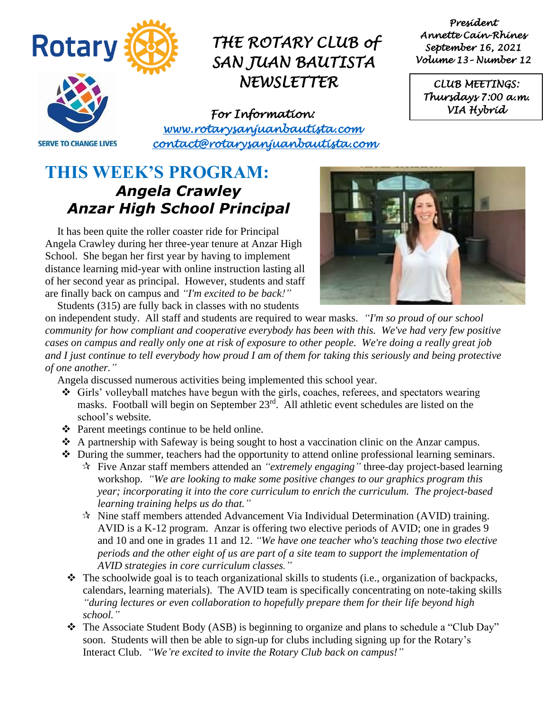

## *THE ROTARY CLUB of SAN JUAN BAUTISTA NEWSLETTER*

*President Annette Cain-Rhines September 16, 2021 Volume 13– Number 12* 

*CLUB MEETINGS: Thursdays 7:00 a.m. VIA Hybrid* 

**SERVE TO CHANGE LIVES** 

*For Information: [www.rotarysanjuanbautista.com](http://www.rotarysanjuanbautista.com/)  contact@rotarysanjuanbautista.com* 

### **THIS WEEK'S PROGRAM:**  *Angela Crawley Anzar High School Principal*

It has been quite the roller coaster ride for Principal Angela Crawley during her three-year tenure at Anzar High School. She began her first year by having to implement distance learning mid-year with online instruction lasting all of her second year as principal. However, students and staff are finally back on campus and *"I'm excited to be back!"* Students (315) are fully back in classes with no students



on independent study. All staff and students are required to wear masks. *"I'm so proud of our school community for how compliant and cooperative everybody has been with this. We've had very few positive cases on campus and really only one at risk of exposure to other people. We're doing a really great job and I just continue to tell everybody how proud I am of them for taking this seriously and being protective of one another."*

Angela discussed numerous activities being implemented this school year.

- ❖ Girls' volleyball matches have begun with the girls, coaches, referees, and spectators wearing masks. Football will begin on September 23<sup>rd</sup>. All athletic event schedules are listed on the school's website*.*
- ❖ Parent meetings continue to be held online.
- ❖ A partnership with Safeway is being sought to host a vaccination clinic on the Anzar campus.
- ❖ During the summer, teachers had the opportunity to attend online professional learning seminars.
	- Five Anzar staff members attended an *"extremely engaging"* three-day project-based learning workshop. *"We are looking to make some positive changes to our graphics program this year; incorporating it into the core curriculum to enrich the curriculum. The project-based learning training helps us do that."*
	- $\mathcal{R}$  Nine staff members attended Advancement Via Individual Determination (AVID) training. AVID is a K-12 program. Anzar is offering two elective periods of AVID; one in grades 9 and 10 and one in grades 11 and 12. *"We have one teacher who's teaching those two elective periods and the other eight of us are part of a site team to support the implementation of AVID strategies in core curriculum classes."*
- $\triangle$  The schoolwide goal is to teach organizational skills to students (i.e., organization of backpacks, calendars, learning materials). The AVID team is specifically concentrating on note-taking skills *"during lectures or even collaboration to hopefully prepare them for their life beyond high school."*
- ❖ The Associate Student Body (ASB) is beginning to organize and plans to schedule a "Club Day" soon. Students will then be able to sign-up for clubs including signing up for the Rotary's Interact Club. *"We're excited to invite the Rotary Club back on campus!"*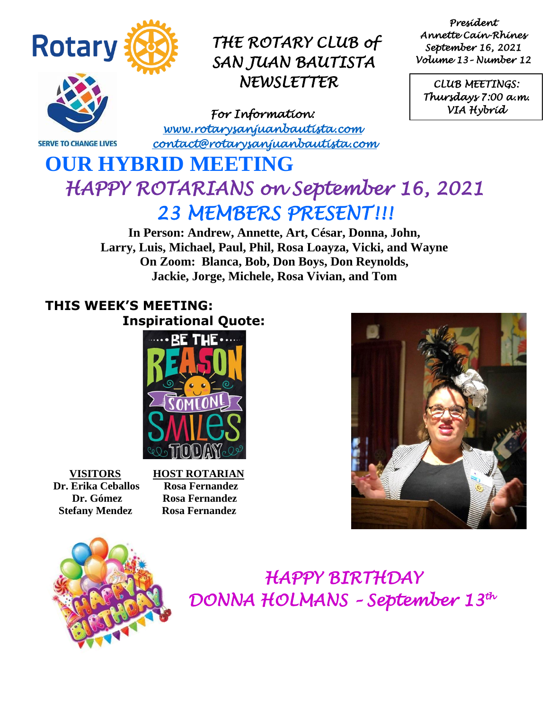

**SERVE TO CHANGE LIVES** 

### *THE ROTARY CLUB of SAN JUAN BAUTISTA NEWSLETTER*

*For Information: [www.rotarysanjuanbautista.com](http://www.rotarysanjuanbautista.com/)  contact@rotarysanjuanbautista.com* 

*President Annette Cain-Rhines September 16, 2021 Volume 13– Number 12* 

*CLUB MEETINGS: Thursdays 7:00 a.m. VIA Hybrid* 

# **OUR HYBRID MEETING**  *HAPPY ROTARIANS on September 16, 2021 23 MEMBERS PRESENT!!!*

**In Person: Andrew, Annette, Art, César, Donna, John, Larry, Luis, Michael, Paul, Phil, Rosa Loayza, Vicki, and Wayne On Zoom: Blanca, Bob, Don Boys, Don Reynolds, Jackie, Jorge, Michele, Rosa Vivian, and Tom**

### **THIS WEEK'S MEETING: Inspirational Quote:**



 **Dr. Erika Ceballos Rosa Fernandez Stefany Mendez Rosa Fernandez** 

 **VISITORS HOST ROTARIAN Dr. Gómez Rosa Fernandez**





 *HAPPY BIRTHDAY DONNA HOLMANS – September 13th* 

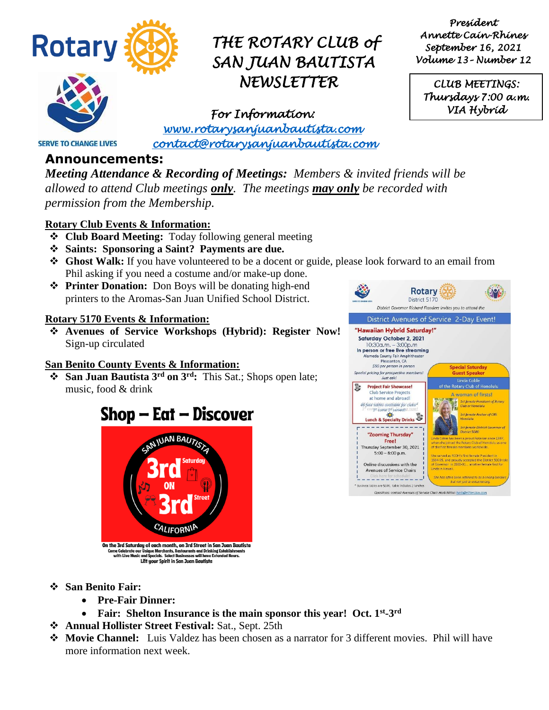

## *THE ROTARY CLUB of SAN JUAN BAUTISTA NEWSLETTER*

*President Annette Cain-Rhines September 16, 2021 Volume 13– Number 12* 

*CLUB MEETINGS: Thursdays 7:00 a.m. VIA Hybrid* 

*For Information: [www.rotarysanjuanbautista.com](http://www.rotarysanjuanbautista.com/)  contact@rotarysanjuanbautista.com* 

### **SERVE TO CHANGE LIVES**

**Announcements:**

*Meeting Attendance & Recording of Meetings: Members & invited friends will be allowed to attend Club meetings only. The meetings may only be recorded with permission from the Membership.*

#### **Rotary Club Events & Information:**

- ❖ **Club Board Meeting:** Today following general meeting
- ❖ **Saints: Sponsoring a Saint? Payments are due.**
- ❖ **Ghost Walk:** If you have volunteered to be a docent or guide, please look forward to an email from Phil asking if you need a costume and/or make-up done.
- ❖ **Printer Donation:** Don Boys will be donating high-end printers to the Aromas-San Juan Unified School District.

#### **Rotary 5170 Events & Information:**

❖ **Avenues of Service Workshops (Hybrid): Register Now!** Sign-up circulated

#### **San Benito County Events & Information:**

❖ **San Juan Bautista 3rd on 3rd:** This Sat.; Shops open late; music, food & drink

### Shop – Eat – Discover





- ❖ **San Benito Fair:**
	- **Pre-Fair Dinner:**
	- Fair: Shelton Insurance is the main sponsor this year! Oct. 1<sup>st</sup>-3<sup>rd</sup>
- ❖ **Annual Hollister Street Festival:** Sat., Sept. 25th
- ❖ **Movie Channel:** Luis Valdez has been chosen as a narrator for 3 different movies. Phil will have more information next week.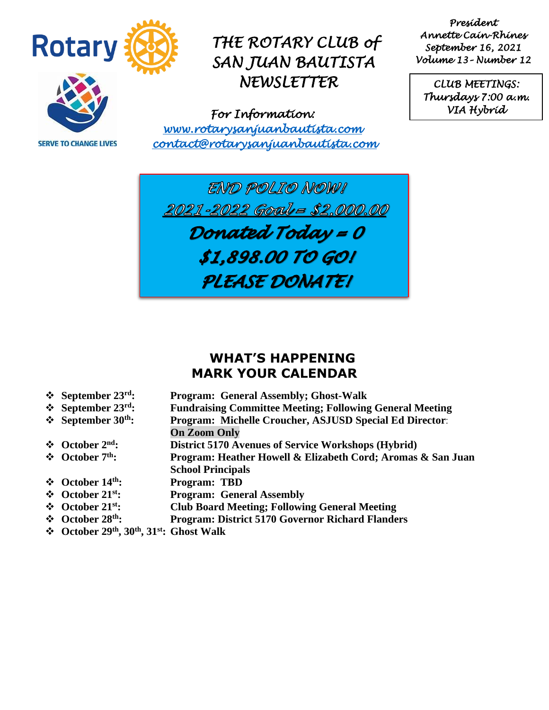

**SERVE TO CHANGE LIVES** 

## *THE ROTARY CLUB of SAN JUAN BAUTISTA NEWSLETTER*

*For Information: [www.rotarysanjuanbautista.com](http://www.rotarysanjuanbautista.com/)  contact@rotarysanjuanbautista.com* 

*President Annette Cain-Rhines September 16, 2021 Volume 13– Number 12* 

*CLUB MEETINGS: Thursdays 7:00 a.m. VIA Hybrid* 

END POLIO NOW! 2021-2022 Goal = \$2,000.00 Donated Today = 0 \$1,898.00 TO GO! PLEASE DONATEI

#### **WHAT'S HAPPENING MARK YOUR CALENDAR**

- **❖** September 23<sup>rd</sup>:<br>❖ September 23<sup>rd</sup>: **Program: General Assembly; Ghost-Walk** 
	-
- **❖** September 23<sup>rd</sup>: Fundraising Committee Meeting; Following General Meeting<br>❖ September 30<sup>th</sup>: Program: Michelle Croucher, ASJUSD Special Ed Director: **Program: Michelle Croucher, ASJUSD Special Ed Director: On Zoom Only**
- **∴ October 2<sup>nd</sup>: District 5170 Avenues of Service Workshops (Hybrid)<br>
<b>∴ October 7<sup>th</sup>: Program: Heather Howell & Elizabeth Cord: Aromas**
- ❖ **October 7th: Program: Heather Howell & Elizabeth Cord; Aromas & San Juan**
- **School Principals**
- ❖ **October 14th: Program: TBD**
- ❖ **October 21st: Program: General Assembly**
- ❖ **October 21st: Club Board Meeting; Following General Meeting**
- ❖ **October 28th: Program: District 5170 Governor Richard Flanders**
- ❖ **October 29th, 30th, 31st: Ghost Walk**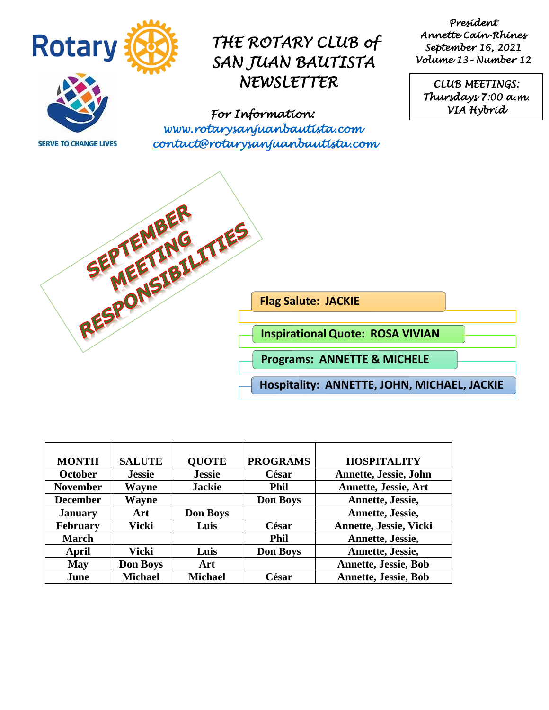

**SERVE TO CHANGE LIVES** 

### *THE ROTARY CLUB of SAN JUAN BAUTISTA NEWSLETTER*

*For Information: [www.rotarysanjuanbautista.com](http://www.rotarysanjuanbautista.com/)  contact@rotarysanjuanbautista.com* 

*President Annette Cain-Rhines September 16, 2021 Volume 13– Number 12* 

*CLUB MEETINGS: Thursdays 7:00 a.m. VIA Hybrid* 



| <b>MONTH</b>    | <b>SALUTE</b>   | <b>OUOTE</b>    | <b>PROGRAMS</b> | <b>HOSPITALITY</b>          |
|-----------------|-----------------|-----------------|-----------------|-----------------------------|
| <b>October</b>  | <b>Jessie</b>   | <b>Jessie</b>   | César           | Annette, Jessie, John       |
| <b>November</b> | Wayne           | <b>Jackie</b>   | <b>Phil</b>     | <b>Annette, Jessie, Art</b> |
| <b>December</b> | Wayne           |                 | <b>Don Boys</b> | Annette, Jessie,            |
| <b>January</b>  | Art             | <b>Don Boys</b> |                 | Annette, Jessie,            |
| <b>February</b> | Vicki           | Luis            | César           | Annette, Jessie, Vicki      |
| <b>March</b>    |                 |                 | <b>Phil</b>     | Annette, Jessie,            |
| April           | Vicki           | Luis            | <b>Don Boys</b> | Annette, Jessie,            |
| <b>May</b>      | <b>Don Boys</b> | Art             |                 | <b>Annette, Jessie, Bob</b> |
| June            | <b>Michael</b>  | <b>Michael</b>  | César           | <b>Annette, Jessie, Bob</b> |